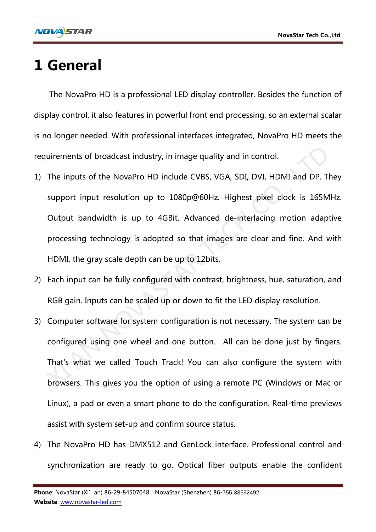### 1 General

 The NovaPro HD is a professional LED display controller. Besides the function of display control, it also features in powerful front end processing, so an external scalar is no longer needed. With professional interfaces integrated, NovaPro HD meets the requirements of broadcast industry, in image quality and in control.

- 1) The inputs of the NovaPro HD include CVBS, VGA, SDI, DVI, HDMI and DP. They support input resolution up to 1080p@60Hz. Highest pixel clock is 165MHz. Output bandwidth is up to 4GBit. Advanced de-interlacing motion adaptive processing technology is adopted so that images are clear and fine. And with HDMI, the gray scale depth can be up to 12bits. uirements of broadcast industry, in image quality and in control.<br>The inputs of the NovaPro HD include CVBS, VGA, SDI, DVI, HDMI and DP. Tl<br>support input resolution up to 1080p@60Hz. Highest pixel clock is 165M<br>Output band
- 2) Each input can be fully configured with contrast, brightness, hue, saturation, and RGB gain. Inputs can be scaled up or down to fit the LED display resolution.
- 3) Computer software for system configuration is not necessary. The system can be configured using one wheel and one button. All can be done just by fingers. That's what we called Touch Track! You can also configure the system with browsers. This gives you the option of using a remote PC (Windows or Mac or Linux), a pad or even a smart phone to do the configuration. Real-time previews assist with system set-up and confirm source status.
- 4) The NovaPro HD has DMX512 and GenLock interface. Professional control and synchronization are ready to go. Optical fiber outputs enable the confident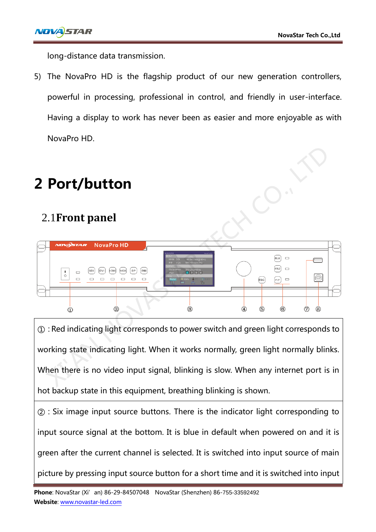

long-distance data transmission.

5) The NovaPro HD is the flagship product of our new generation controllers, powerful in processing, professional in control, and friendly in user-interface. Having a display to work has never been as easier and more enjoyable as with NovaPro HD.

## 2 Port/button

### 2.1**Front panel**

| <b>2 Port/button</b>                                                                                                                                                                                                                                                |  |            |            |                                 |  |
|---------------------------------------------------------------------------------------------------------------------------------------------------------------------------------------------------------------------------------------------------------------------|--|------------|------------|---------------------------------|--|
| 2.1 Front panel                                                                                                                                                                                                                                                     |  |            |            |                                 |  |
| <b>NovaPro HD</b><br><b>NOVASTAR</b><br><b>CVBS</b><br><b>MOH</b><br>DP<br>DVI<br>$\Box$<br>$\circ$                                                                                                                                                                 |  | ESC<br>(5) | PIP<br>(6) | $\left( \square \right)$<br>(8) |  |
| 1) : Red indicating light corresponds to power switch and green light corresponds to<br>working state indicating light. When it works normally, green light normally blinks.<br>When there is no video input signal, blinking is slow. When any internet port is in |  |            |            |                                 |  |
|                                                                                                                                                                                                                                                                     |  |            |            |                                 |  |

①:Red indicating light corresponds to power switch and green light corresponds to working state indicating light. When it works normally, green light normally blinks. When there is no video input signal, blinking is slow. When any internet port is in hot backup state in this equipment, breathing blinking is shown.

②:Six image input source buttons. There is the indicator light corresponding to input source signal at the bottom. It is blue in default when powered on and it is green after the current channel is selected. It is switched into input source of main picture by pressing input source button for a short time and it is switched into input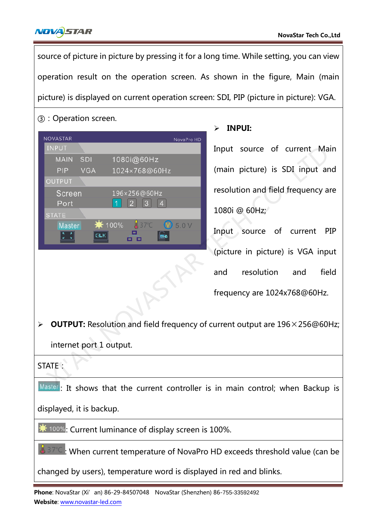

source of picture in picture by pressing it for a long time. While setting, you can view operation result on the operation screen. As shown in the figure, Main (main picture) is displayed on current operation screen: SDI, PIP (picture in picture): VGA.

#### ③:Operation screen.

| <b>NOVASTAR</b>           | NovaPro HD                                    |                                                                                 |
|---------------------------|-----------------------------------------------|---------------------------------------------------------------------------------|
| <b>INPUT</b>              |                                               | Input source of current Ma                                                      |
| <b>MAIN</b><br><b>SDI</b> | 1080i@60Hz                                    |                                                                                 |
| <b>PIP</b><br><b>VGA</b>  | 1024×768@60Hz                                 | (main picture) is SDI input ar                                                  |
| OUTPUT                    |                                               |                                                                                 |
| Screen                    | 196×256@60Hz                                  | resolution and field frequency a                                                |
| Port                      | 3                                             |                                                                                 |
| <b>STATE</b>              |                                               | 1080i @ 60Hz;                                                                   |
| ₩ 100%<br><b>Master</b>   | $\frac{1}{2}$ 37°C<br>$\textcircled{1}$ 5.0 V |                                                                                 |
| <b>GLK</b>                | Ge                                            | Input source of current P                                                       |
|                           |                                               | (picture in picture) is VGA inp                                                 |
|                           |                                               |                                                                                 |
|                           |                                               | resolution<br>fie<br>and<br>and                                                 |
|                           |                                               |                                                                                 |
|                           |                                               | frequency are 1024x768@60Hz.                                                    |
|                           |                                               |                                                                                 |
| $\blacktriangleright$     |                                               | <b>OUTPUT:</b> Resolution and field frequency of current output are 196×256@601 |
|                           |                                               |                                                                                 |
| internet port 1 output.   |                                               |                                                                                 |
|                           |                                               |                                                                                 |
| STATE:                    |                                               |                                                                                 |
|                           |                                               |                                                                                 |
| Master $\cdot$ It chouse  |                                               | that the current controller is in main control: when Backup                     |

#### INPUI:

Input source of current Main (main picture) is SDI input and resolution and field frequency are 1080i @ 60Hz; Input source of current PIP (picture in picture) is VGA input and resolution and field frequency are 1024x768@60Hz.

#### STATE:

Master: It shows that the current controller is in main control; when Backup is

displayed, it is backup.

 $\frac{1}{2}$  100%: Current luminance of display screen is 100%.

: When current temperature of NovaPro HD exceeds threshold value (can be

changed by users), temperature word is displayed in red and blinks.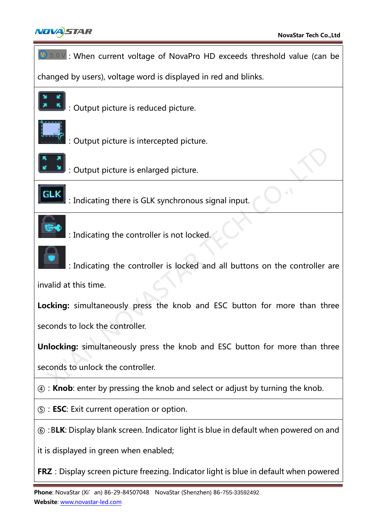

 $|\mathbf{V}|$  5.0  $\mathbf{V}$  : When current voltage of NovaPro HD exceeds threshold value (can be

changed by users), voltage word is displayed in red and blinks.



:Output picture is reduced picture.



:Output picture is intercepted picture.



:Output picture is enlarged picture.



:Indicating there is GLK synchronous signal input.



:Indicating the controller is not locked.



:Indicating the controller is locked and all buttons on the controller are X<br>
XIX : Dutput picture is enlarged picture.<br>
XIX : Indicating there is GLK synchronous signal input.<br>
XIX : Indicating the controller is not locked.<br>
XIII : Indicating the controller is locked and all buttons on the contr

invalid at this time.

Locking: simultaneously press the knob and ESC button for more than three

seconds to lock the controller.

Unlocking: simultaneously press the knob and ESC button for more than three

seconds to unlock the controller.

 $\omega$ : **Knob**: enter by pressing the knob and select or adjust by turning the knob.

⑤:ESC: Exit current operation or option.

⑥:BLK: Display blank screen. Indicator light is blue in default when powered on and

it is displayed in green when enabled;

FRZ: Display screen picture freezing. Indicator light is blue in default when powered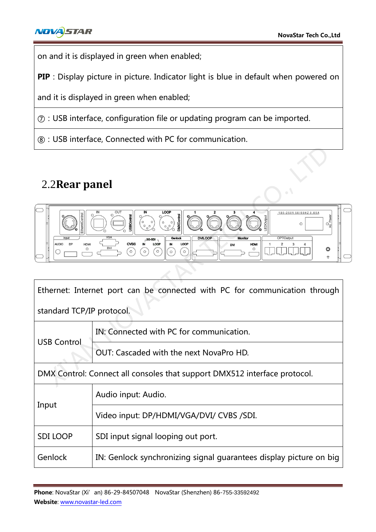

on and it is displayed in green when enabled;

PIP: Display picture in picture. Indicator light is blue in default when powered on

and it is displayed in green when enabled;

⑦:USB interface, configuration file or updating program can be imported.

⑧:USB interface, Connected with PC for communication.

### 2.2**Rear panel**



| 2.2 Rear panel                                                                                                                                                                                                                                                                                                                                                                                                                                                                                                             |                                                                            |  |  |
|----------------------------------------------------------------------------------------------------------------------------------------------------------------------------------------------------------------------------------------------------------------------------------------------------------------------------------------------------------------------------------------------------------------------------------------------------------------------------------------------------------------------------|----------------------------------------------------------------------------|--|--|
| <b>LOOP</b><br>OUT<br>IN<br>100-250V 50/60HZ 0.65A<br><b>USBControl</b><br>O<br>AC Powe<br>$\left(\begin{matrix} 0 & 0 \\ 0 & 0 \\ 0 & 0 \end{matrix}\right)$<br>$\begin{pmatrix} 0 & 0 \\ 0 & 0 \\ 0 & 0 \end{pmatrix}$<br>$\circ$<br><b>DVILOOP</b><br>OPTOutput<br><b>Genlock</b><br><b>Monitor</b><br>$-3G-SDI$<br><b>CVBS</b><br>LOOP<br>$\overline{\mathbf{N}}$<br><b>AUDIO</b><br><b>DP</b><br>LOOP<br>IN<br>HDMI<br><b>HDMI</b><br><b>DVI</b><br><b>DVI</b><br>$\circ$<br>$\circ$<br>$\circ$<br>$\circ$<br>$\circ$ |                                                                            |  |  |
| standard TCP/IP protocol.                                                                                                                                                                                                                                                                                                                                                                                                                                                                                                  | Ethernet: Internet port can be connected with PC for communication through |  |  |
| IN: Connected with PC for communication.                                                                                                                                                                                                                                                                                                                                                                                                                                                                                   |                                                                            |  |  |
| <b>USB Control</b>                                                                                                                                                                                                                                                                                                                                                                                                                                                                                                         | OUT: Cascaded with the next NovaPro HD.                                    |  |  |
| DMX Control: Connect all consoles that support DMX512 interface protocol.                                                                                                                                                                                                                                                                                                                                                                                                                                                  |                                                                            |  |  |
| Input                                                                                                                                                                                                                                                                                                                                                                                                                                                                                                                      | Audio input: Audio.                                                        |  |  |
|                                                                                                                                                                                                                                                                                                                                                                                                                                                                                                                            | Video input: DP/HDMI/VGA/DVI/ CVBS /SDI.                                   |  |  |
| <b>SDI LOOP</b>                                                                                                                                                                                                                                                                                                                                                                                                                                                                                                            | SDI input signal looping out port.                                         |  |  |
| Genlock                                                                                                                                                                                                                                                                                                                                                                                                                                                                                                                    | IN: Genlock synchronizing signal guarantees display picture on big         |  |  |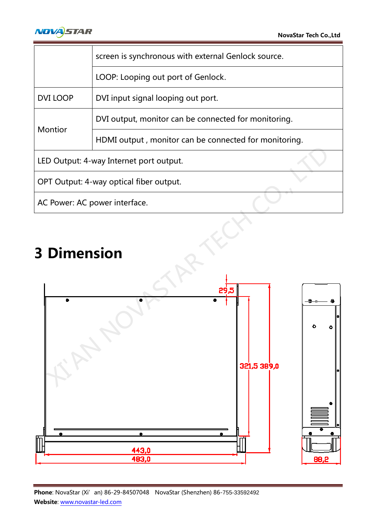

|                                         | screen is synchronous with external Genlock source.   |  |  |
|-----------------------------------------|-------------------------------------------------------|--|--|
|                                         | LOOP: Looping out port of Genlock.                    |  |  |
| DVI LOOP                                | DVI input signal looping out port.                    |  |  |
| Montior                                 | DVI output, monitor can be connected for monitoring.  |  |  |
|                                         | HDMI output, monitor can be connected for monitoring. |  |  |
| LED Output: 4-way Internet port output. |                                                       |  |  |
| OPT Output: 4-way optical fiber output. |                                                       |  |  |
| AC Power: AC power interface.           |                                                       |  |  |

## 3 Dimension

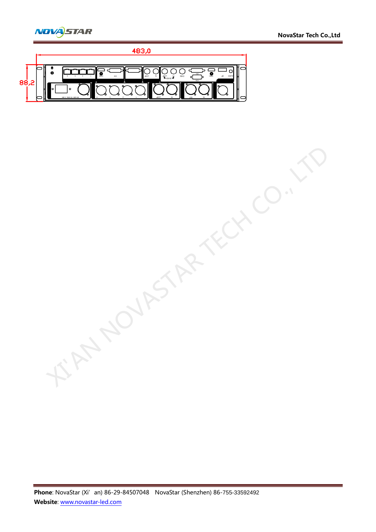



**MOVASTAR TECH CO.**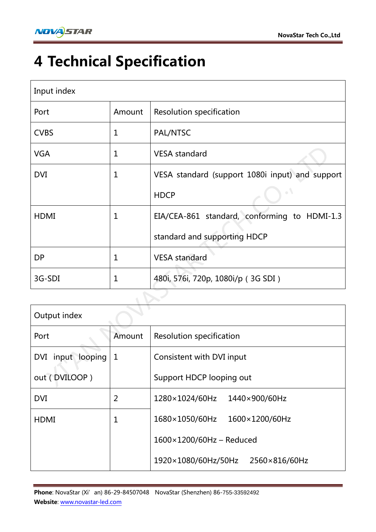

# 4 Technical Specification

| Input index       |              |                                                 |  |
|-------------------|--------------|-------------------------------------------------|--|
| Port              | Amount       | <b>Resolution specification</b>                 |  |
| <b>CVBS</b>       | 1            | PAL/NTSC                                        |  |
| <b>VGA</b>        | 1            | <b>VESA</b> standard                            |  |
| <b>DVI</b>        | $\mathbf{1}$ | VESA standard (support 1080i input) and support |  |
|                   |              | $\bullet$<br><b>HDCP</b>                        |  |
| <b>HDMI</b>       | $\mathbf{1}$ | EIA/CEA-861 standard, conforming to HDMI-1.3    |  |
|                   |              | standard and supporting HDCP                    |  |
| <b>DP</b>         | $\mathbf 1$  | <b>VESA</b> standard                            |  |
| 3G-SDI            | $\mathbf 1$  | 480i, 576i, 720p, 1080i/p (3G SDI)              |  |
|                   |              |                                                 |  |
| Output index      |              |                                                 |  |
| Port              | Amount       | <b>Resolution specification</b>                 |  |
| DVI input looping | $\mathbf{1}$ | Consistent with DVI input                       |  |
| out (DVILOOP)     |              | Support HDCP looping out                        |  |

| Output index      |        |                                      |
|-------------------|--------|--------------------------------------|
| Port              | Amount | Resolution specification             |
| DVI input looping | 1      | Consistent with DVI input            |
| out (DVILOOP)     |        | Support HDCP looping out             |
| <b>DVI</b>        | 2      | 1280×1024/60Hz<br>1440×900/60Hz      |
| <b>HDMI</b>       | 1      | 1680×1050/60Hz<br>1600×1200/60Hz     |
|                   |        | $1600\times1200/60$ Hz - Reduced     |
|                   |        | 1920×1080/60Hz/50Hz<br>2560×816/60Hz |